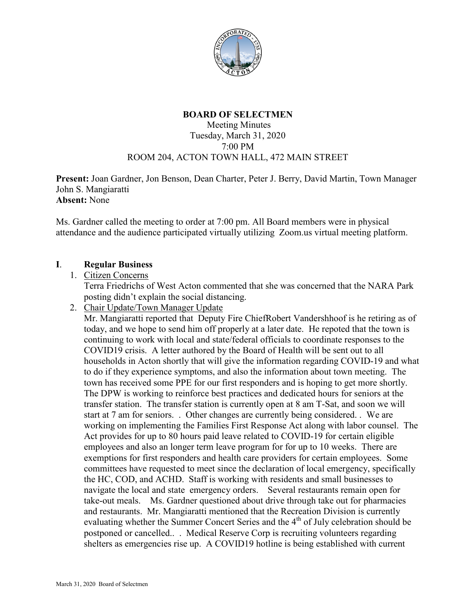

## **BOARD OF SELECTMEN**

#### Meeting Minutes Tuesday, March 31, 2020 7:00 PM ROOM 204, ACTON TOWN HALL, 472 MAIN STREET

**Present:** Joan Gardner, Jon Benson, Dean Charter, Peter J. Berry, David Martin, Town Manager John S. Mangiaratti **Absent:** None

Ms. Gardner called the meeting to order at 7:00 pm. All Board members were in physical attendance and the audience participated virtually utilizing Zoom.us virtual meeting platform.

### **I**. **Regular Business**

### 1. Citizen Concerns

Terra Friedrichs of West Acton commented that she was concerned that the NARA Park posting didn't explain the social distancing.

2. Chair Update/Town Manager Update

Mr. Mangiaratti reported that Deputy Fire ChiefRobert Vandershhoof is he retiring as of today, and we hope to send him off properly at a later date. He repoted that the town is continuing to work with local and state/federal officials to coordinate responses to the COVID19 crisis. A letter authored by the Board of Health will be sent out to all households in Acton shortly that will give the information regarding COVID-19 and what to do if they experience symptoms, and also the information about town meeting. The town has received some PPE for our first responders and is hoping to get more shortly. The DPW is working to reinforce best practices and dedicated hours for seniors at the transfer station. The transfer station is currently open at 8 am T-Sat, and soon we will start at 7 am for seniors. . Other changes are currently being considered. . We are working on implementing the Families First Response Act along with labor counsel. The Act provides for up to 80 hours paid leave related to COVID-19 for certain eligible employees and also an longer term leave program for for up to 10 weeks. There are exemptions for first responders and health care providers for certain employees. Some committees have requested to meet since the declaration of local emergency, specifically the HC, COD, and ACHD. Staff is working with residents and small businesses to navigate the local and state emergency orders. Several restaurants remain open for take-out meals. Ms. Gardner questioned about drive through take out for pharmacies and restaurants. Mr. Mangiaratti mentioned that the Recreation Division is currently evaluating whether the Summer Concert Series and the 4<sup>th</sup> of July celebration should be postponed or cancelled.. . Medical Reserve Corp is recruiting volunteers regarding shelters as emergencies rise up. A COVID19 hotline is being established with current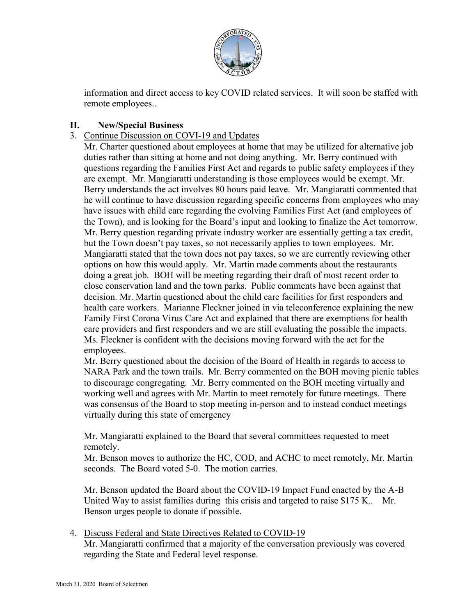

information and direct access to key COVID related services. It will soon be staffed with remote employees..

# **II. New/Special Business**

3. Continue Discussion on COVI-19 and Updates

Mr. Charter questioned about employees at home that may be utilized for alternative job duties rather than sitting at home and not doing anything. Mr. Berry continued with questions regarding the Families First Act and regards to public safety employees if they are exempt. Mr. Mangiaratti understanding is those employees would be exempt. Mr. Berry understands the act involves 80 hours paid leave. Mr. Mangiaratti commented that he will continue to have discussion regarding specific concerns from employees who may have issues with child care regarding the evolving Families First Act (and employees of the Town), and is looking for the Board's input and looking to finalize the Act tomorrow. Mr. Berry question regarding private industry worker are essentially getting a tax credit, but the Town doesn't pay taxes, so not necessarily applies to town employees. Mr. Mangiaratti stated that the town does not pay taxes, so we are currently reviewing other options on how this would apply. Mr. Martin made comments about the restaurants doing a great job. BOH will be meeting regarding their draft of most recent order to close conservation land and the town parks. Public comments have been against that decision. Mr. Martin questioned about the child care facilities for first responders and health care workers. Marianne Fleckner joined in via teleconference explaining the new Family First Corona Virus Care Act and explained that there are exemptions for health care providers and first responders and we are still evaluating the possible the impacts. Ms. Fleckner is confident with the decisions moving forward with the act for the employees.

Mr. Berry questioned about the decision of the Board of Health in regards to access to NARA Park and the town trails. Mr. Berry commented on the BOH moving picnic tables to discourage congregating. Mr. Berry commented on the BOH meeting virtually and working well and agrees with Mr. Martin to meet remotely for future meetings. There was consensus of the Board to stop meeting in-person and to instead conduct meetings virtually during this state of emergency

Mr. Mangiaratti explained to the Board that several committees requested to meet remotely.

Mr. Benson moves to authorize the HC, COD, and ACHC to meet remotely, Mr. Martin seconds. The Board voted 5-0. The motion carries.

Mr. Benson updated the Board about the COVID-19 Impact Fund enacted by the A-B United Way to assist families during this crisis and targeted to raise \$175 K.. Mr. Benson urges people to donate if possible.

4. Discuss Federal and State Directives Related to COVID-19

Mr. Mangiaratti confirmed that a majority of the conversation previously was covered regarding the State and Federal level response.